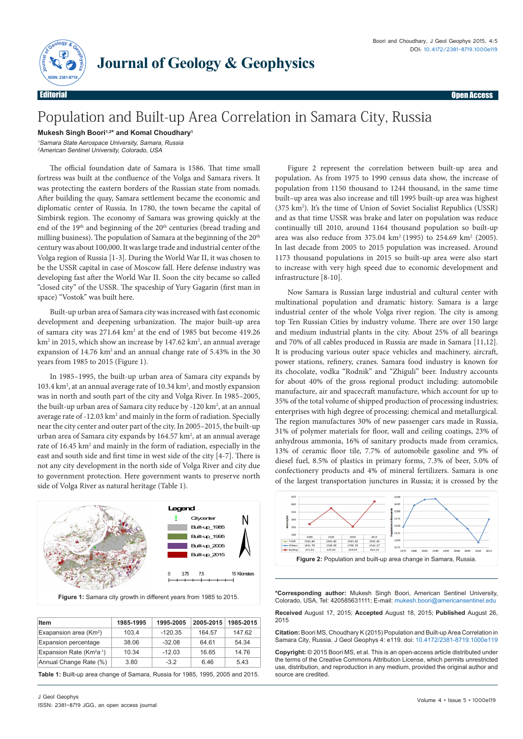

## Population and Built-up Area Correlation in Samara City, Russia

**Journal of Geology & Geophysics**

**Mukesh Singh Boori1,2\* and Komal Choudhary1**

<sup>1</sup>Samara State Aerospace University, Samara, Russia <sup>2</sup>American Sentinel University, Colorado, USA

The official foundation date of Samara is 1586. That time small fortress was built at the confluence of the Volga and Samara rivers. It was protecting the eastern borders of the Russian state from nomads. After building the quay, Samara settlement became the economic and diplomatic center of Russia. In 1780, the town became the capital of Simbirsk region. The economy of Samara was growing quickly at the end of the 19<sup>th</sup> and beginning of the 20<sup>th</sup> centuries (bread trading and milling business). The population of Samara at the beginning of the 20<sup>th</sup> century was about 100,000. It was large trade and industrial center of the Volga region of Russia [1-3]. During the World War II, it was chosen to be the USSR capital in case of Moscow fall. Here defense industry was developing fast after the World War II. Soon the city became so called "closed city" of the USSR. The spaceship of Yury Gagarin (first man in space) "Vostok" was built here.

Built-up urban area of Samara city was increased with fast economic development and deepening urbanization. The major built-up area of samara city was 271.64 km<sup>2</sup> at the end of 1985 but become 419.26 km<sup>2</sup> in 2015, which show an increase by 147.62 km<sup>2</sup>, an annual average expansion of 14.76 km2 and an annual change rate of 5.43% in the 30 years from 1985 to 2015 (Figure 1).

In 1985–1995, the built-up urban area of Samara city expands by 103.4 km<sup>2</sup>, at an annual average rate of 10.34 km<sup>2</sup>, and mostly expansion was in north and south part of the city and Volga River. In 1985–2005, the built-up urban area of Samara city reduce by -120 km<sup>2</sup>, at an annual average rate of -12.03 km<sup>2</sup> and mainly in the form of radiation. Specially near the city center and outer part of the city. In 2005–2015, the built-up urban area of Samara city expands by  $164.57 \text{ km}^2$ , at an annual average rate of 16.45 km<sup>2</sup> and mainly in the form of radiation, especially in the east and south side and first time in west side of the city [4-7]. There is not any city development in the north side of Volga River and city due to government protection. Here government wants to preserve north side of Volga River as natural heritage (Table 1).



| Item                            | 1985-1995 | 1995-2005 | 2005-2015 | 1985-2015 |
|---------------------------------|-----------|-----------|-----------|-----------|
| Exapansion area $(Km2)$         | 103.4     | $-120.35$ | 164.57    | 147.62    |
| Expansion percentage            | 38.06     | $-32.08$  | 64.61     | 54.34     |
| Expansion Rate ( $Km^2a^{-1}$ ) | 10.34     | $-12.03$  | 16.65     | 14.76     |
| Annual Change Rate (%)          | 3.80      | $-32$     | 6.46      | 5.43      |

**Table 1:** Built-up area change of Samara, Russia for 1985, 1995, 2005 and 2015.

Figure 2 represent the correlation between built-up area and population. As from 1975 to 1990 census data show, the increase of population from 1150 thousand to 1244 thousand, in the same time built–up area was also increase and till 1995 built-up area was highest (375 km2 ). It's the time of Union of Soviet Socialist Republics (USSR) and as that time USSR was brake and later on population was reduce continually till 2010, around 1164 thousand population so built-up area was also reduce from  $375.04 \text{ km}^2 (1995)$  to  $254.69 \text{ km}^2 (2005)$ . In last decade from 2005 to 2015 population was increased. Around 1173 thousand populations in 2015 so built-up area were also start to increase with very high speed due to economic development and infrastructure [8-10].

Now Samara is Russian large industrial and cultural center with multinational population and dramatic history. Samara is a large industrial center of the whole Volga river region. The city is among top Ten Russian Cities by industry volume. There are over 150 large and medium industrial plants in the city. About 25% of all bearings and 70% of all cables produced in Russia are made in Samara [11,12]. It is producing various outer space vehicles and machinery, aircraft, power stations, refinery, cranes. Samara food industry is known for its chocolate, vodka "Rodnik" and "Zhiguli" beer. Industry accounts for about 40% of the gross regional product including: automobile manufacture, air and spacecraft manufacture, which account for up to 35% of the total volume of shipped production of processing industries; enterprises with high degree of processing: chemical and metallurgical. The region manufactures 30% of new passenger cars made in Russia, 31% of polymer materials for floor, wall and ceiling coatings, 23% of anhydrous ammonia, 16% of sanitary products made from ceramics, 13% of ceramic floor tile, 7.7% of automobile gasoline and 9% of diesel fuel, 8.5% of plastics in primary forms, 7.3% of beer, 5.0% of confectionery products and 4% of mineral fertilizers. Samara is one of the largest transportation junctures in Russia; it is crossed by the



**\*Corresponding author:** Mukesh Singh Boori, American Sentinel University, Colorado, USA, Tel: 420585631111; E-mail: mukesh.boori@americansentinel.edu

**Received** August 17, 2015; **Accepted** August 18, 2015; **Published** August 26, 2015

**Citation:** Boori MS, Choudhary K (2015) Population and Built-up Area Correlation in Samara City, Russia. J Geol Geophys 4: e119. doi: 10.4172/2381-8719.1000e119

**Copyright:** © 2015 Boori MS, et al. This is an open-access article distributed under the terms of the Creative Commons Attribution License, which permits unrestricted use, distribution, and reproduction in any medium, provided the original author and source are credited.